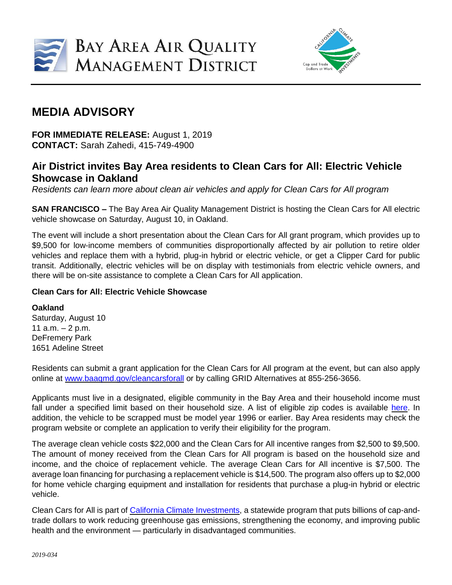



## **MEDIA ADVISORY**

**FOR IMMEDIATE RELEASE:** August 1, 2019 **CONTACT:** Sarah Zahedi, 415-749-4900

## **Air District invites Bay Area residents to Clean Cars for All: Electric Vehicle Showcase in Oakland**

*Residents can learn more about clean air vehicles and apply for Clean Cars for All program*

**SAN FRANCISCO –** The Bay Area Air Quality Management District is hosting the Clean Cars for All electric vehicle showcase on Saturday, August 10, in Oakland.

The event will include a short presentation about the Clean Cars for All grant program, which provides up to \$9,500 for low-income members of communities disproportionally affected by air pollution to retire older vehicles and replace them with a hybrid, plug-in hybrid or electric vehicle, or get a Clipper Card for public transit. Additionally, electric vehicles will be on display with testimonials from electric vehicle owners, and there will be on-site assistance to complete a Clean Cars for All application.

## **Clean Cars for All: Electric Vehicle Showcase**

## **Oakland**

Saturday, August 10 11  $a.m. - 2 p.m.$ DeFremery Park 1651 Adeline Street

Residents can submit a grant application for the Clean Cars for All program at the event, but can also apply online at [www.baaqmd.gov/cleancarsforall](http://www.baaqmd.gov/cleancarsforall) or by calling GRID Alternatives at 855-256-3656.

Applicants must live in a designated, eligible community in the Bay Area and their household income must fall under a specified limit based on their household size. A list of eligible zip codes is available [here.](http://www.baaqmd.gov/funding-and-incentives/residents/clean-cars-for-all/eligibility) In addition, the vehicle to be scrapped must be model year 1996 or earlier. Bay Area residents may check the program website or complete an application to verify their eligibility for the program.

The average clean vehicle costs \$22,000 and the Clean Cars for All incentive ranges from \$2,500 to \$9,500. The amount of money received from the Clean Cars for All program is based on the household size and income, and the choice of replacement vehicle. The average Clean Cars for All incentive is \$7,500. The average loan financing for purchasing a replacement vehicle is \$14,500. The program also offers up to \$2,000 for home vehicle charging equipment and installation for residents that purchase a plug-in hybrid or electric vehicle.

Clean Cars for All is part of California Climate [Investments,](http://www.caclimateinvestments.ca.gov/) a statewide program that puts billions of cap-andtrade dollars to work reducing greenhouse gas emissions, strengthening the economy, and improving public health and the environment — particularly in disadvantaged communities.